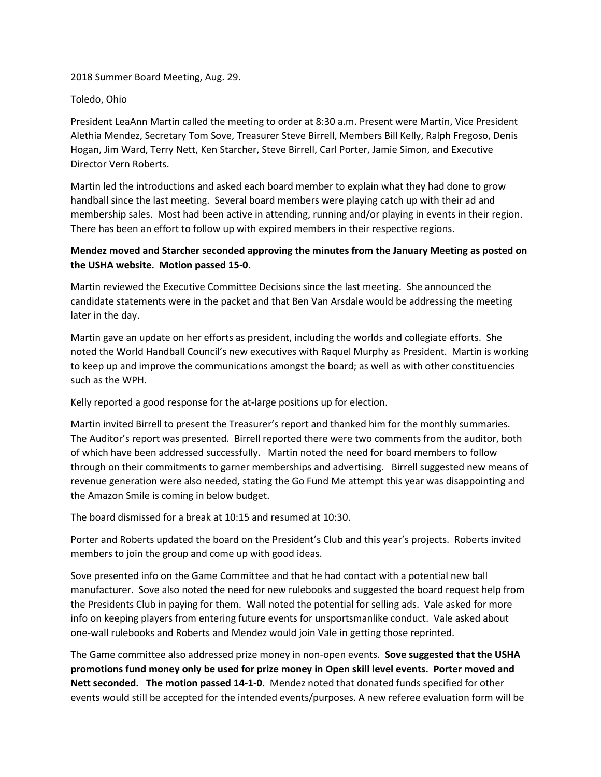2018 Summer Board Meeting, Aug. 29.

Toledo, Ohio

President LeaAnn Martin called the meeting to order at 8:30 a.m. Present were Martin, Vice President Alethia Mendez, Secretary Tom Sove, Treasurer Steve Birrell, Members Bill Kelly, Ralph Fregoso, Denis Hogan, Jim Ward, Terry Nett, Ken Starcher, Steve Birrell, Carl Porter, Jamie Simon, and Executive Director Vern Roberts.

Martin led the introductions and asked each board member to explain what they had done to grow handball since the last meeting. Several board members were playing catch up with their ad and membership sales. Most had been active in attending, running and/or playing in events in their region. There has been an effort to follow up with expired members in their respective regions.

## **Mendez moved and Starcher seconded approving the minutes from the January Meeting as posted on the USHA website. Motion passed 15-0.**

Martin reviewed the Executive Committee Decisions since the last meeting. She announced the candidate statements were in the packet and that Ben Van Arsdale would be addressing the meeting later in the day.

Martin gave an update on her efforts as president, including the worlds and collegiate efforts. She noted the World Handball Council's new executives with Raquel Murphy as President. Martin is working to keep up and improve the communications amongst the board; as well as with other constituencies such as the WPH.

Kelly reported a good response for the at-large positions up for election.

Martin invited Birrell to present the Treasurer's report and thanked him for the monthly summaries. The Auditor's report was presented. Birrell reported there were two comments from the auditor, both of which have been addressed successfully. Martin noted the need for board members to follow through on their commitments to garner memberships and advertising. Birrell suggested new means of revenue generation were also needed, stating the Go Fund Me attempt this year was disappointing and the Amazon Smile is coming in below budget.

The board dismissed for a break at 10:15 and resumed at 10:30.

Porter and Roberts updated the board on the President's Club and this year's projects. Roberts invited members to join the group and come up with good ideas.

Sove presented info on the Game Committee and that he had contact with a potential new ball manufacturer. Sove also noted the need for new rulebooks and suggested the board request help from the Presidents Club in paying for them. Wall noted the potential for selling ads. Vale asked for more info on keeping players from entering future events for unsportsmanlike conduct. Vale asked about one-wall rulebooks and Roberts and Mendez would join Vale in getting those reprinted.

The Game committee also addressed prize money in non-open events. **Sove suggested that the USHA promotions fund money only be used for prize money in Open skill level events. Porter moved and Nett seconded. The motion passed 14-1-0.** Mendez noted that donated funds specified for other events would still be accepted for the intended events/purposes. A new referee evaluation form will be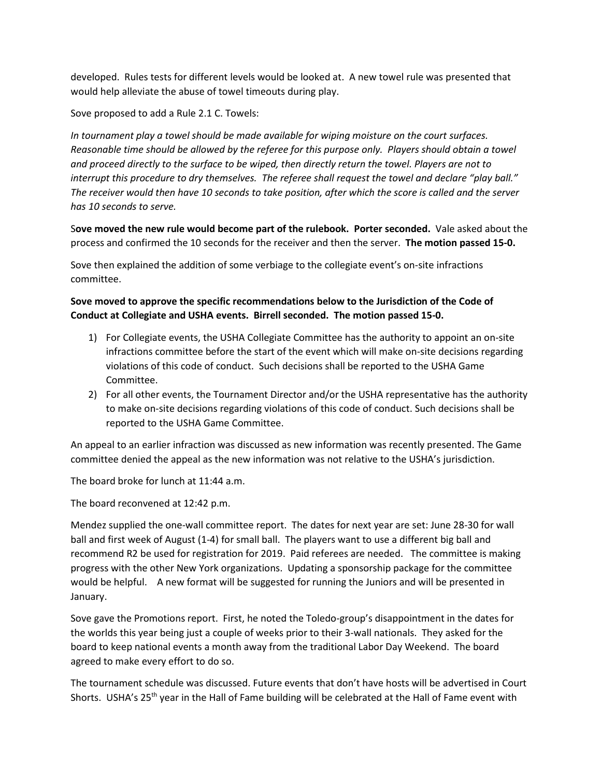developed. Rules tests for different levels would be looked at. A new towel rule was presented that would help alleviate the abuse of towel timeouts during play.

Sove proposed to add a Rule 2.1 C. Towels:

*In tournament play a towel should be made available for wiping moisture on the court surfaces. Reasonable time should be allowed by the referee for this purpose only. Players should obtain a towel and proceed directly to the surface to be wiped, then directly return the towel. Players are not to interrupt this procedure to dry themselves. The referee shall request the towel and declare "play ball." The receiver would then have 10 seconds to take position, after which the score is called and the server has 10 seconds to serve.*

S**ove moved the new rule would become part of the rulebook. Porter seconded.** Vale asked about the process and confirmed the 10 seconds for the receiver and then the server. **The motion passed 15-0.**

Sove then explained the addition of some verbiage to the collegiate event's on-site infractions committee.

## **Sove moved to approve the specific recommendations below to the Jurisdiction of the Code of Conduct at Collegiate and USHA events. Birrell seconded. The motion passed 15-0.**

- 1) For Collegiate events, the USHA Collegiate Committee has the authority to appoint an on-site infractions committee before the start of the event which will make on-site decisions regarding violations of this code of conduct. Such decisions shall be reported to the USHA Game Committee.
- 2) For all other events, the Tournament Director and/or the USHA representative has the authority to make on-site decisions regarding violations of this code of conduct. Such decisions shall be reported to the USHA Game Committee.

An appeal to an earlier infraction was discussed as new information was recently presented. The Game committee denied the appeal as the new information was not relative to the USHA's jurisdiction.

The board broke for lunch at 11:44 a.m.

The board reconvened at 12:42 p.m.

Mendez supplied the one-wall committee report. The dates for next year are set: June 28-30 for wall ball and first week of August (1-4) for small ball. The players want to use a different big ball and recommend R2 be used for registration for 2019. Paid referees are needed. The committee is making progress with the other New York organizations. Updating a sponsorship package for the committee would be helpful. A new format will be suggested for running the Juniors and will be presented in January.

Sove gave the Promotions report. First, he noted the Toledo-group's disappointment in the dates for the worlds this year being just a couple of weeks prior to their 3-wall nationals. They asked for the board to keep national events a month away from the traditional Labor Day Weekend. The board agreed to make every effort to do so.

The tournament schedule was discussed. Future events that don't have hosts will be advertised in Court Shorts. USHA's 25<sup>th</sup> year in the Hall of Fame building will be celebrated at the Hall of Fame event with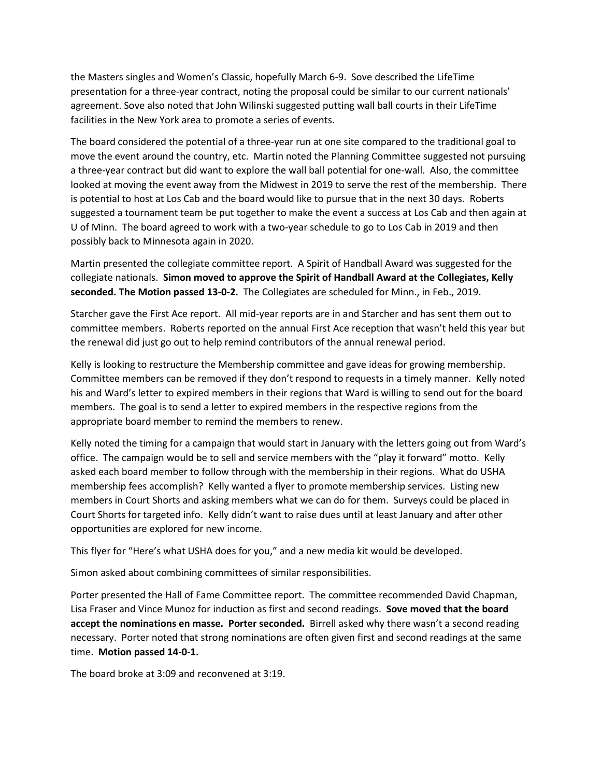the Masters singles and Women's Classic, hopefully March 6-9. Sove described the LifeTime presentation for a three-year contract, noting the proposal could be similar to our current nationals' agreement. Sove also noted that John Wilinski suggested putting wall ball courts in their LifeTime facilities in the New York area to promote a series of events.

The board considered the potential of a three-year run at one site compared to the traditional goal to move the event around the country, etc. Martin noted the Planning Committee suggested not pursuing a three-year contract but did want to explore the wall ball potential for one-wall. Also, the committee looked at moving the event away from the Midwest in 2019 to serve the rest of the membership. There is potential to host at Los Cab and the board would like to pursue that in the next 30 days. Roberts suggested a tournament team be put together to make the event a success at Los Cab and then again at U of Minn. The board agreed to work with a two-year schedule to go to Los Cab in 2019 and then possibly back to Minnesota again in 2020.

Martin presented the collegiate committee report. A Spirit of Handball Award was suggested for the collegiate nationals. **Simon moved to approve the Spirit of Handball Award at the Collegiates, Kelly seconded. The Motion passed 13-0-2.** The Collegiates are scheduled for Minn., in Feb., 2019.

Starcher gave the First Ace report. All mid-year reports are in and Starcher and has sent them out to committee members. Roberts reported on the annual First Ace reception that wasn't held this year but the renewal did just go out to help remind contributors of the annual renewal period.

Kelly is looking to restructure the Membership committee and gave ideas for growing membership. Committee members can be removed if they don't respond to requests in a timely manner. Kelly noted his and Ward's letter to expired members in their regions that Ward is willing to send out for the board members. The goal is to send a letter to expired members in the respective regions from the appropriate board member to remind the members to renew.

Kelly noted the timing for a campaign that would start in January with the letters going out from Ward's office. The campaign would be to sell and service members with the "play it forward" motto. Kelly asked each board member to follow through with the membership in their regions. What do USHA membership fees accomplish? Kelly wanted a flyer to promote membership services. Listing new members in Court Shorts and asking members what we can do for them. Surveys could be placed in Court Shorts for targeted info. Kelly didn't want to raise dues until at least January and after other opportunities are explored for new income.

This flyer for "Here's what USHA does for you," and a new media kit would be developed.

Simon asked about combining committees of similar responsibilities.

Porter presented the Hall of Fame Committee report. The committee recommended David Chapman, Lisa Fraser and Vince Munoz for induction as first and second readings. **Sove moved that the board accept the nominations en masse. Porter seconded.** Birrell asked why there wasn't a second reading necessary. Porter noted that strong nominations are often given first and second readings at the same time. **Motion passed 14-0-1.**

The board broke at 3:09 and reconvened at 3:19.